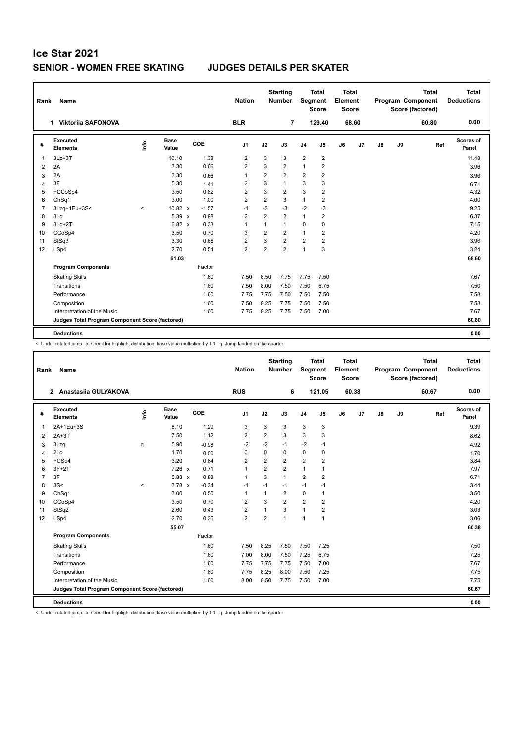| Rank           | Name                                            |         |                      |         | <b>Nation</b>  |                | <b>Starting</b><br><b>Number</b> | Segment        | <b>Total</b><br><b>Score</b> | <b>Total</b><br>Element<br><b>Score</b> |       |    |    | <b>Total</b><br>Program Component<br>Score (factored) | <b>Total</b><br><b>Deductions</b> |
|----------------|-------------------------------------------------|---------|----------------------|---------|----------------|----------------|----------------------------------|----------------|------------------------------|-----------------------------------------|-------|----|----|-------------------------------------------------------|-----------------------------------|
|                | 1 Viktorija SAFONOVA                            |         |                      |         | <b>BLR</b>     |                | 7                                |                | 129.40                       |                                         | 68.60 |    |    | 60.80                                                 | 0.00                              |
| #              | Executed<br><b>Elements</b>                     | ١rfo    | <b>Base</b><br>Value | GOE     | J <sub>1</sub> | J2             | J3                               | J <sub>4</sub> | J <sub>5</sub>               | J6                                      | J7    | J8 | J9 | Ref                                                   | Scores of<br>Panel                |
| 1              | $3Lz + 3T$                                      |         | 10.10                | 1.38    | $\overline{2}$ | 3              | 3                                | $\overline{2}$ | $\overline{2}$               |                                         |       |    |    |                                                       | 11.48                             |
| 2              | 2A                                              |         | 3.30                 | 0.66    | $\overline{2}$ | 3              | $\overline{2}$                   | $\mathbf{1}$   | 2                            |                                         |       |    |    |                                                       | 3.96                              |
| 3              | 2A                                              |         | 3.30                 | 0.66    | 1              | 2              | $\overline{2}$                   | 2              | $\overline{2}$               |                                         |       |    |    |                                                       | 3.96                              |
| 4              | 3F                                              |         | 5.30                 | 1.41    | $\overline{2}$ | 3              | $\mathbf{1}$                     | 3              | 3                            |                                         |       |    |    |                                                       | 6.71                              |
| 5              | FCCoSp4                                         |         | 3.50                 | 0.82    | $\overline{2}$ | 3              | $\overline{2}$                   | 3              | $\overline{2}$               |                                         |       |    |    |                                                       | 4.32                              |
| 6              | ChSq1                                           |         | 3.00                 | 1.00    | 2              | $\overline{2}$ | 3                                | $\mathbf{1}$   | 2                            |                                         |       |    |    |                                                       | 4.00                              |
| $\overline{7}$ | 3Lzq+1Eu+3S<                                    | $\prec$ | $10.82 \times$       | $-1.57$ | $-1$           | $-3$           | $-3$                             | $-2$           | $-3$                         |                                         |       |    |    |                                                       | 9.25                              |
| 8              | 3Lo                                             |         | 5.39 x               | 0.98    | $\overline{2}$ | 2              | $\overline{2}$                   | $\mathbf{1}$   | $\overline{2}$               |                                         |       |    |    |                                                       | 6.37                              |
| 9              | $3Lo+2T$                                        |         | 6.82 x               | 0.33    | $\mathbf{1}$   | 1              | $\mathbf{1}$                     | 0              | 0                            |                                         |       |    |    |                                                       | 7.15                              |
| 10             | CCoSp4                                          |         | 3.50                 | 0.70    | 3              | $\overline{2}$ | $\overline{2}$                   | $\mathbf{1}$   | 2                            |                                         |       |    |    |                                                       | 4.20                              |
| 11             | StSq3                                           |         | 3.30                 | 0.66    | $\overline{2}$ | 3              | $\overline{2}$                   | $\overline{2}$ | 2                            |                                         |       |    |    |                                                       | 3.96                              |
| 12             | LSp4                                            |         | 2.70                 | 0.54    | $\overline{2}$ | $\overline{2}$ | $\overline{2}$                   | $\mathbf{1}$   | 3                            |                                         |       |    |    |                                                       | 3.24                              |
|                |                                                 |         | 61.03                |         |                |                |                                  |                |                              |                                         |       |    |    |                                                       | 68.60                             |
|                | <b>Program Components</b>                       |         |                      | Factor  |                |                |                                  |                |                              |                                         |       |    |    |                                                       |                                   |
|                | <b>Skating Skills</b>                           |         |                      | 1.60    | 7.50           | 8.50           | 7.75                             | 7.75           | 7.50                         |                                         |       |    |    |                                                       | 7.67                              |
|                | Transitions                                     |         |                      | 1.60    | 7.50           | 8.00           | 7.50                             | 7.50           | 6.75                         |                                         |       |    |    |                                                       | 7.50                              |
|                | Performance                                     |         |                      | 1.60    | 7.75           | 7.75           | 7.50                             | 7.50           | 7.50                         |                                         |       |    |    |                                                       | 7.58                              |
|                | Composition                                     |         |                      | 1.60    | 7.50           | 8.25           | 7.75                             | 7.50           | 7.50                         |                                         |       |    |    |                                                       | 7.58                              |
|                | Interpretation of the Music                     |         |                      | 1.60    | 7.75           | 8.25           | 7.75                             | 7.50           | 7.00                         |                                         |       |    |    |                                                       | 7.67                              |
|                | Judges Total Program Component Score (factored) |         |                      |         |                |                |                                  |                |                              |                                         |       |    |    |                                                       | 60.80                             |
|                | <b>Deductions</b>                               |         |                      |         |                |                |                                  |                |                              |                                         |       |    |    |                                                       | 0.00                              |

< Under-rotated jump x Credit for highlight distribution, base value multiplied by 1.1 q Jump landed on the quarter

| Rank           | Name                                            |         |                      |         | <b>Nation</b>  |                | <b>Starting</b><br><b>Number</b> | Segment        | <b>Total</b><br><b>Score</b> | <b>Total</b><br>Element<br><b>Score</b> |       |    |    | <b>Total</b><br>Program Component<br>Score (factored) | <b>Total</b><br><b>Deductions</b> |
|----------------|-------------------------------------------------|---------|----------------------|---------|----------------|----------------|----------------------------------|----------------|------------------------------|-----------------------------------------|-------|----|----|-------------------------------------------------------|-----------------------------------|
|                | 2 Anastasiia GULYAKOVA                          |         |                      |         | <b>RUS</b>     |                | 6                                |                | 121.05                       |                                         | 60.38 |    |    | 60.67                                                 | 0.00                              |
| #              | Executed<br><b>Elements</b>                     | Info    | <b>Base</b><br>Value | GOE     | J <sub>1</sub> | J2             | J3                               | J <sub>4</sub> | J5                           | J6                                      | J7    | J8 | J9 | Ref                                                   | Scores of<br>Panel                |
| 1              | 2A+1Eu+3S                                       |         | 8.10                 | 1.29    | 3              | 3              | 3                                | 3              | 3                            |                                         |       |    |    |                                                       | 9.39                              |
| 2              | $2A+3T$                                         |         | 7.50                 | 1.12    | $\overline{2}$ | $\overline{2}$ | 3                                | 3              | 3                            |                                         |       |    |    |                                                       | 8.62                              |
| 3              | 3Lzq                                            | q       | 5.90                 | $-0.98$ | $-2$           | $-2$           | $-1$                             | $-2$           | $-1$                         |                                         |       |    |    |                                                       | 4.92                              |
| 4              | 2Lo                                             |         | 1.70                 | 0.00    | $\Omega$       | $\mathbf 0$    | 0                                | $\mathbf 0$    | $\mathbf 0$                  |                                         |       |    |    |                                                       | 1.70                              |
| 5              | FCSp4                                           |         | 3.20                 | 0.64    | $\overline{2}$ | $\overline{2}$ | $\overline{2}$                   | $\overline{2}$ | $\overline{2}$               |                                         |       |    |    |                                                       | 3.84                              |
| 6              | $3F+2T$                                         |         | $7.26 \times$        | 0.71    | $\overline{1}$ | $\overline{2}$ | $\overline{2}$                   | $\mathbf{1}$   | 1                            |                                         |       |    |    |                                                       | 7.97                              |
| $\overline{7}$ | 3F                                              |         | 5.83 x               | 0.88    | -1             | 3              | $\mathbf{1}$                     | $\overline{2}$ | $\overline{2}$               |                                         |       |    |    |                                                       | 6.71                              |
| 8              | 3S<                                             | $\prec$ | $3.78 \times$        | $-0.34$ | -1             | $-1$           | $-1$                             | $-1$           | $-1$                         |                                         |       |    |    |                                                       | 3.44                              |
| 9              | ChSq1                                           |         | 3.00                 | 0.50    | $\overline{1}$ | $\mathbf{1}$   | $\overline{2}$                   | $\mathbf 0$    | $\mathbf{1}$                 |                                         |       |    |    |                                                       | 3.50                              |
| 10             | CCoSp4                                          |         | 3.50                 | 0.70    | $\overline{2}$ | 3              | $\overline{2}$                   | $\overline{2}$ | $\overline{2}$               |                                         |       |    |    |                                                       | 4.20                              |
| 11             | StSq2                                           |         | 2.60                 | 0.43    | $\overline{2}$ | $\mathbf{1}$   | 3                                | $\mathbf{1}$   | $\overline{2}$               |                                         |       |    |    |                                                       | 3.03                              |
| 12             | LSp4                                            |         | 2.70                 | 0.36    | $\overline{2}$ | $\overline{2}$ | $\mathbf{1}$                     | $\mathbf{1}$   | $\overline{1}$               |                                         |       |    |    |                                                       | 3.06                              |
|                |                                                 |         | 55.07                |         |                |                |                                  |                |                              |                                         |       |    |    |                                                       | 60.38                             |
|                | <b>Program Components</b>                       |         |                      | Factor  |                |                |                                  |                |                              |                                         |       |    |    |                                                       |                                   |
|                | <b>Skating Skills</b>                           |         |                      | 1.60    | 7.50           | 8.25           | 7.50                             | 7.50           | 7.25                         |                                         |       |    |    |                                                       | 7.50                              |
|                | Transitions                                     |         |                      | 1.60    | 7.00           | 8.00           | 7.50                             | 7.25           | 6.75                         |                                         |       |    |    |                                                       | 7.25                              |
|                | Performance                                     |         |                      | 1.60    | 7.75           | 7.75           | 7.75                             | 7.50           | 7.00                         |                                         |       |    |    |                                                       | 7.67                              |
|                | Composition                                     |         |                      | 1.60    | 7.75           | 8.25           | 8.00                             | 7.50           | 7.25                         |                                         |       |    |    |                                                       | 7.75                              |
|                | Interpretation of the Music                     |         |                      | 1.60    | 8.00           | 8.50           | 7.75                             | 7.50           | 7.00                         |                                         |       |    |    |                                                       | 7.75                              |
|                | Judges Total Program Component Score (factored) |         |                      |         |                |                |                                  |                |                              |                                         |       |    |    |                                                       | 60.67                             |
|                | <b>Deductions</b>                               |         |                      |         |                |                |                                  |                |                              |                                         |       |    |    |                                                       | 0.00                              |

< Under-rotated jump x Credit for highlight distribution, base value multiplied by 1.1 q Jump landed on the quarter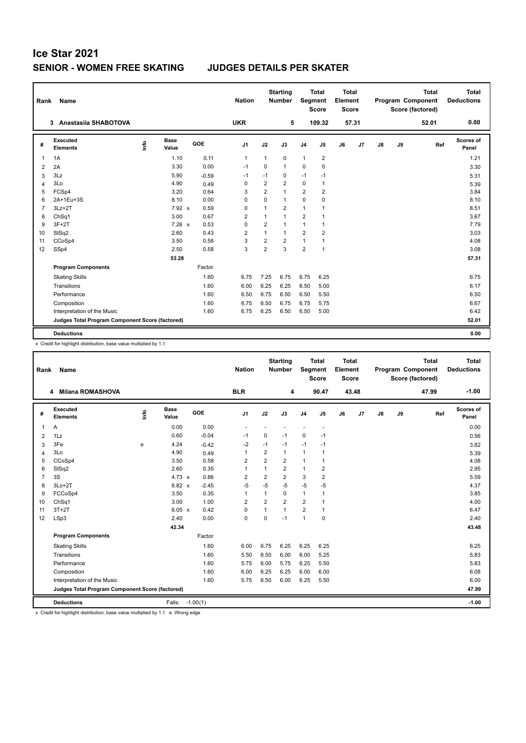| Rank           | Name                                            |      |                      |         | <b>Nation</b>  |                | <b>Starting</b><br><b>Number</b> | Segment        | <b>Total</b><br><b>Score</b> | <b>Total</b><br>Element<br><b>Score</b> |                |    |    | <b>Total</b><br>Program Component<br>Score (factored) | <b>Total</b><br><b>Deductions</b> |
|----------------|-------------------------------------------------|------|----------------------|---------|----------------|----------------|----------------------------------|----------------|------------------------------|-----------------------------------------|----------------|----|----|-------------------------------------------------------|-----------------------------------|
|                | 3 Anastasiia SHABOTOVA                          |      |                      |         | <b>UKR</b>     |                | 5                                |                | 109.32                       |                                         | 57.31          |    |    | 52.01                                                 | 0.00                              |
| #              | Executed<br><b>Elements</b>                     | lnfo | <b>Base</b><br>Value | GOE     | J <sub>1</sub> | J2             | J3                               | J <sub>4</sub> | J5                           | J6                                      | J <sub>7</sub> | J8 | J9 | Ref                                                   | Scores of<br>Panel                |
| 1              | 1A                                              |      | 1.10                 | 0.11    | $\overline{1}$ | 1              | 0                                | $\mathbf{1}$   | 2                            |                                         |                |    |    |                                                       | 1.21                              |
| 2              | 2A                                              |      | 3.30                 | 0.00    | $-1$           | 0              | $\mathbf{1}$                     | $\mathbf 0$    | $\mathbf 0$                  |                                         |                |    |    |                                                       | 3.30                              |
| 3              | 3Lz                                             |      | 5.90                 | $-0.59$ | $-1$           | $-1$           | 0                                | $-1$           | $-1$                         |                                         |                |    |    |                                                       | 5.31                              |
| $\overline{4}$ | 3Lo                                             |      | 4.90                 | 0.49    | 0              | $\overline{2}$ | $\overline{2}$                   | $\Omega$       | $\mathbf{1}$                 |                                         |                |    |    |                                                       | 5.39                              |
| 5              | FCSp4                                           |      | 3.20                 | 0.64    | 3              | $\overline{2}$ | $\mathbf{1}$                     | $\overline{2}$ | $\overline{2}$               |                                         |                |    |    |                                                       | 3.84                              |
| 6              | 2A+1Eu+3S                                       |      | 8.10                 | 0.00    | 0              | $\mathbf 0$    | $\mathbf{1}$                     | $\mathbf 0$    | 0                            |                                         |                |    |    |                                                       | 8.10                              |
| $\overline{7}$ | $3Lz + 2T$                                      |      | 7.92 x               | 0.59    | 0              | 1              | $\overline{2}$                   | $\mathbf{1}$   | $\mathbf{1}$                 |                                         |                |    |    |                                                       | 8.51                              |
| 8              | ChSq1                                           |      | 3.00                 | 0.67    | 2              | 1              | $\mathbf{1}$                     | $\overline{2}$ | 1                            |                                         |                |    |    |                                                       | 3.67                              |
| 9              | $3F+2T$                                         |      | $7.26 \times$        | 0.53    | $\mathbf 0$    | $\overline{2}$ | $\mathbf{1}$                     | $\mathbf{1}$   | 1                            |                                         |                |    |    |                                                       | 7.79                              |
| 10             | StSq2                                           |      | 2.60                 | 0.43    | $\overline{2}$ | 1              | $\mathbf{1}$                     | $\overline{2}$ | $\overline{2}$               |                                         |                |    |    |                                                       | 3.03                              |
| 11             | CCoSp4                                          |      | 3.50                 | 0.58    | 3              | 2              | $\overline{2}$                   | $\mathbf{1}$   | 1                            |                                         |                |    |    |                                                       | 4.08                              |
| 12             | SSp4                                            |      | 2.50                 | 0.58    | 3              | $\overline{2}$ | 3                                | $\overline{2}$ | $\mathbf{1}$                 |                                         |                |    |    |                                                       | 3.08                              |
|                |                                                 |      | 53.28                |         |                |                |                                  |                |                              |                                         |                |    |    |                                                       | 57.31                             |
|                | <b>Program Components</b>                       |      |                      | Factor  |                |                |                                  |                |                              |                                         |                |    |    |                                                       |                                   |
|                | <b>Skating Skills</b>                           |      |                      | 1.60    | 6.75           | 7.25           | 6.75                             | 6.75           | 6.25                         |                                         |                |    |    |                                                       | 6.75                              |
|                | Transitions                                     |      |                      | 1.60    | 6.00           | 6.25           | 6.25                             | 6.50           | 5.00                         |                                         |                |    |    |                                                       | 6.17                              |
|                | Performance                                     |      |                      | 1.60    | 6.50           | 6.75           | 6.50                             | 6.50           | 5.50                         |                                         |                |    |    |                                                       | 6.50                              |
|                | Composition                                     |      |                      | 1.60    | 6.75           | 6.50           | 6.75                             | 6.75           | 5.75                         |                                         |                |    |    |                                                       | 6.67                              |
|                | Interpretation of the Music                     |      |                      | 1.60    | 6.75           | 6.25           | 6.50                             | 6.50           | 5.00                         |                                         |                |    |    |                                                       | 6.42                              |
|                | Judges Total Program Component Score (factored) |      |                      |         |                |                |                                  |                |                              |                                         |                |    |    |                                                       | 52.01                             |
|                | <b>Deductions</b>                               |      |                      |         |                |                |                                  |                |                              |                                         |                |    |    |                                                       | 0.00                              |

x Credit for highlight distribution, base value multiplied by 1.1

| Rank           | Name                                            |      |                      |            | <b>Nation</b>  |                | <b>Starting</b><br><b>Number</b> | Segment        | <b>Total</b><br><b>Score</b> | <b>Total</b><br>Element<br><b>Score</b> |       |    |    | <b>Total</b><br>Program Component<br>Score (factored) | <b>Total</b><br><b>Deductions</b> |
|----------------|-------------------------------------------------|------|----------------------|------------|----------------|----------------|----------------------------------|----------------|------------------------------|-----------------------------------------|-------|----|----|-------------------------------------------------------|-----------------------------------|
|                | <b>Milana ROMASHOVA</b><br>4                    |      |                      |            | <b>BLR</b>     |                | 4                                |                | 90.47                        |                                         | 43.48 |    |    | 47.99                                                 | $-1.00$                           |
| #              | Executed<br><b>Elements</b>                     | Info | <b>Base</b><br>Value | GOE        | J <sub>1</sub> | J2             | J3                               | J <sub>4</sub> | J5                           | J6                                      | J7    | J8 | J9 | Ref                                                   | <b>Scores of</b><br>Panel         |
| 1              | Α                                               |      | 0.00                 | 0.00       | ٠              |                |                                  | ÷              | ٠                            |                                         |       |    |    |                                                       | 0.00                              |
| 2              | 1Lz                                             |      | 0.60                 | $-0.04$    | -1             | $\mathbf 0$    | $-1$                             | 0              | $-1$                         |                                         |       |    |    |                                                       | 0.56                              |
| 3              | 3Fe                                             | e    | 4.24                 | $-0.42$    | $-2$           | $-1$           | $-1$                             | $-1$           | $-1$                         |                                         |       |    |    |                                                       | 3.82                              |
| $\overline{4}$ | 3Lo                                             |      | 4.90                 | 0.49       | $\overline{1}$ | $\overline{2}$ | $\mathbf{1}$                     | 1              | $\mathbf{1}$                 |                                         |       |    |    |                                                       | 5.39                              |
| 5              | CCoSp4                                          |      | 3.50                 | 0.58       | $\overline{2}$ | 2              | $\overline{2}$                   | 1              | $\mathbf{1}$                 |                                         |       |    |    |                                                       | 4.08                              |
| 6              | StSq2                                           |      | 2.60                 | 0.35       | $\mathbf{1}$   | 1              | $\overline{2}$                   | 1              | $\overline{2}$               |                                         |       |    |    |                                                       | 2.95                              |
| $\overline{7}$ | 3S                                              |      | 4.73 x               | 0.86       | $\overline{2}$ | $\overline{2}$ | $\overline{2}$                   | 3              | $\overline{2}$               |                                         |       |    |    |                                                       | 5.59                              |
| 8              | $3Lo+2T$                                        |      | 6.82 x               | $-2.45$    | $-5$           | $-5$           | $-5$                             | $-5$           | $-5$                         |                                         |       |    |    |                                                       | 4.37                              |
| 9              | FCCoSp4                                         |      | 3.50                 | 0.35       | $\mathbf{1}$   | 1              | 0                                | 1              | 1                            |                                         |       |    |    |                                                       | 3.85                              |
| 10             | ChSq1                                           |      | 3.00                 | 1.00       | $\overline{2}$ | $\overline{2}$ | $\overline{2}$                   | $\overline{2}$ | $\overline{1}$               |                                         |       |    |    |                                                       | 4.00                              |
| 11             | $3T+2T$                                         |      | 6.05 x               | 0.42       | $\mathbf 0$    | $\mathbf{1}$   | $\mathbf{1}$                     | $\overline{2}$ | $\mathbf{1}$                 |                                         |       |    |    |                                                       | 6.47                              |
| 12             | LSp3                                            |      | 2.40                 | 0.00       | $\mathbf 0$    | $\Omega$       | $-1$                             | $\mathbf{1}$   | $\mathbf 0$                  |                                         |       |    |    |                                                       | 2.40                              |
|                |                                                 |      | 42.34                |            |                |                |                                  |                |                              |                                         |       |    |    |                                                       | 43.48                             |
|                | <b>Program Components</b>                       |      |                      | Factor     |                |                |                                  |                |                              |                                         |       |    |    |                                                       |                                   |
|                | <b>Skating Skills</b>                           |      |                      | 1.60       | 6.00           | 6.75           | 6.25                             | 6.25           | 6.25                         |                                         |       |    |    |                                                       | 6.25                              |
|                | Transitions                                     |      |                      | 1.60       | 5.50           | 6.50           | 6.00                             | 6.00           | 5.25                         |                                         |       |    |    |                                                       | 5.83                              |
|                | Performance                                     |      |                      | 1.60       | 5.75           | 6.00           | 5.75                             | 6.25           | 5.50                         |                                         |       |    |    |                                                       | 5.83                              |
|                | Composition                                     |      |                      | 1.60       | 6.00           | 6.25           | 6.25                             | 6.00           | 6.00                         |                                         |       |    |    |                                                       | 6.08                              |
|                | Interpretation of the Music                     |      |                      | 1.60       | 5.75           | 6.50           | 6.00                             | 6.25           | 5.50                         |                                         |       |    |    |                                                       | 6.00                              |
|                | Judges Total Program Component Score (factored) |      |                      |            |                |                |                                  |                |                              |                                         |       |    |    |                                                       | 47.99                             |
|                | <b>Deductions</b>                               |      | Falls:               | $-1.00(1)$ |                |                |                                  |                |                              |                                         |       |    |    |                                                       | $-1.00$                           |

x Credit for highlight distribution, base value multiplied by 1.1 e Wrong edge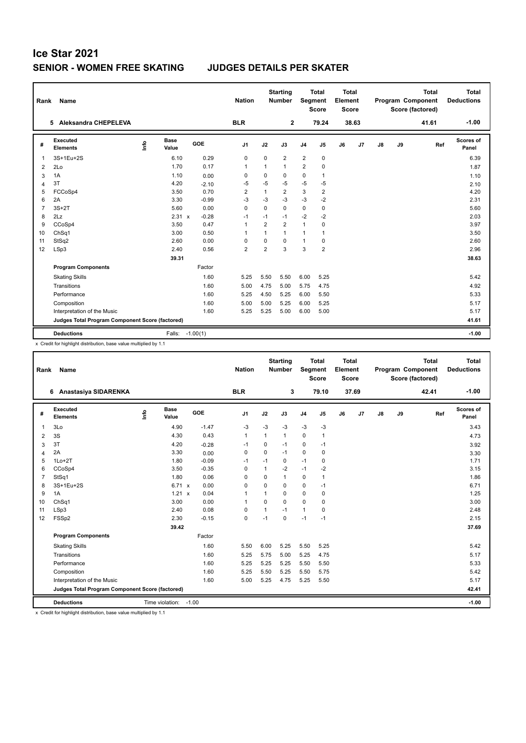| Rank           | Name                                            |      |                      |         | <b>Nation</b>  |                | <b>Starting</b><br>Number | Segment        | <b>Total</b><br><b>Score</b> | <b>Total</b><br>Element<br><b>Score</b> |       |    |    | <b>Total</b><br><b>Program Component</b><br>Score (factored) | <b>Total</b><br><b>Deductions</b> |
|----------------|-------------------------------------------------|------|----------------------|---------|----------------|----------------|---------------------------|----------------|------------------------------|-----------------------------------------|-------|----|----|--------------------------------------------------------------|-----------------------------------|
|                | 5 Aleksandra CHEPELEVA                          |      |                      |         | <b>BLR</b>     |                | $\mathbf{2}$              |                | 79.24                        |                                         | 38.63 |    |    | 41.61                                                        | $-1.00$                           |
| #              | Executed<br><b>Elements</b>                     | ١rfo | <b>Base</b><br>Value | GOE     | J <sub>1</sub> | J2             | J3                        | J <sub>4</sub> | J5                           | J6                                      | J7    | J8 | J9 | Ref                                                          | <b>Scores of</b><br>Panel         |
| 1              | 3S+1Eu+2S                                       |      | 6.10                 | 0.29    | 0              | $\Omega$       | $\overline{2}$            | $\overline{2}$ | $\pmb{0}$                    |                                         |       |    |    |                                                              | 6.39                              |
| 2              | 2Lo                                             |      | 1.70                 | 0.17    | $\mathbf{1}$   | 1              | 1                         | $\overline{2}$ | $\mathbf 0$                  |                                         |       |    |    |                                                              | 1.87                              |
| 3              | 1A                                              |      | 1.10                 | 0.00    | 0              | 0              | 0                         | $\mathbf 0$    | $\mathbf{1}$                 |                                         |       |    |    |                                                              | 1.10                              |
| 4              | 3T                                              |      | 4.20                 | $-2.10$ | $-5$           | $-5$           | $-5$                      | $-5$           | $-5$                         |                                         |       |    |    |                                                              | 2.10                              |
| 5              | FCCoSp4                                         |      | 3.50                 | 0.70    | $\overline{2}$ | $\mathbf{1}$   | $\overline{2}$            | 3              | $\overline{2}$               |                                         |       |    |    |                                                              | 4.20                              |
| 6              | 2A                                              |      | 3.30                 | $-0.99$ | $-3$           | $-3$           | $-3$                      | $-3$           | $-2$                         |                                         |       |    |    |                                                              | 2.31                              |
| $\overline{7}$ | $3S+2T$                                         |      | 5.60                 | 0.00    | $\Omega$       | $\Omega$       | $\Omega$                  | $\mathbf 0$    | $\mathbf 0$                  |                                         |       |    |    |                                                              | 5.60                              |
| 8              | 2Lz                                             |      | 2.31 x               | $-0.28$ | $-1$           | $-1$           | $-1$                      | $-2$           | $-2$                         |                                         |       |    |    |                                                              | 2.03                              |
| 9              | CCoSp4                                          |      | 3.50                 | 0.47    | $\overline{1}$ | $\overline{2}$ | $\overline{2}$            | $\mathbf{1}$   | $\Omega$                     |                                         |       |    |    |                                                              | 3.97                              |
| 10             | Ch <sub>Sq1</sub>                               |      | 3.00                 | 0.50    | $\overline{1}$ | $\mathbf{1}$   | 1                         | $\mathbf{1}$   | $\mathbf{1}$                 |                                         |       |    |    |                                                              | 3.50                              |
| 11             | StSq2                                           |      | 2.60                 | 0.00    | 0              | 0              | 0                         | $\mathbf{1}$   | 0                            |                                         |       |    |    |                                                              | 2.60                              |
| 12             | LSp3                                            |      | 2.40                 | 0.56    | $\overline{2}$ | $\overline{2}$ | 3                         | 3              | $\overline{2}$               |                                         |       |    |    |                                                              | 2.96                              |
|                |                                                 |      | 39.31                |         |                |                |                           |                |                              |                                         |       |    |    |                                                              | 38.63                             |
|                | <b>Program Components</b>                       |      |                      | Factor  |                |                |                           |                |                              |                                         |       |    |    |                                                              |                                   |
|                | <b>Skating Skills</b>                           |      |                      | 1.60    | 5.25           | 5.50           | 5.50                      | 6.00           | 5.25                         |                                         |       |    |    |                                                              | 5.42                              |
|                | Transitions                                     |      |                      | 1.60    | 5.00           | 4.75           | 5.00                      | 5.75           | 4.75                         |                                         |       |    |    |                                                              | 4.92                              |
|                | Performance                                     |      |                      | 1.60    | 5.25           | 4.50           | 5.25                      | 6.00           | 5.50                         |                                         |       |    |    |                                                              | 5.33                              |
|                | Composition                                     |      |                      | 1.60    | 5.00           | 5.00           | 5.25                      | 6.00           | 5.25                         |                                         |       |    |    |                                                              | 5.17                              |
|                | Interpretation of the Music                     |      |                      | 1.60    | 5.25           | 5.25           | 5.00                      | 6.00           | 5.00                         |                                         |       |    |    |                                                              | 5.17                              |
|                | Judges Total Program Component Score (factored) |      |                      |         |                |                |                           |                |                              |                                         |       |    |    |                                                              | 41.61                             |
|                | <b>Deductions</b>                               |      | Falls: -1.00(1)      |         |                |                |                           |                |                              |                                         |       |    |    |                                                              | $-1.00$                           |

x Credit for highlight distribution, base value multiplied by 1.1

| Rank           | Name                                            |      |                      |         | <b>Nation</b>  |              | <b>Starting</b><br><b>Number</b> |                | <b>Total</b><br>Segment<br><b>Score</b> | Total<br>Element<br><b>Score</b> |       |    |    | <b>Total</b><br>Program Component<br>Score (factored) | <b>Total</b><br><b>Deductions</b> |
|----------------|-------------------------------------------------|------|----------------------|---------|----------------|--------------|----------------------------------|----------------|-----------------------------------------|----------------------------------|-------|----|----|-------------------------------------------------------|-----------------------------------|
|                | Anastasiya SIDARENKA<br>6                       |      |                      |         | <b>BLR</b>     |              | 3                                |                | 79.10                                   |                                  | 37.69 |    |    | 42.41                                                 | $-1.00$                           |
| #              | Executed<br><b>Elements</b>                     | lnfo | <b>Base</b><br>Value | GOE     | J1             | J2           | J3                               | J <sub>4</sub> | J <sub>5</sub>                          | J6                               | J7    | J8 | J9 | Ref                                                   | Scores of<br>Panel                |
| 1              | 3Lo                                             |      | 4.90                 | $-1.47$ | $-3$           | $-3$         | $-3$                             | $-3$           | $-3$                                    |                                  |       |    |    |                                                       | 3.43                              |
| $\overline{2}$ | 3S                                              |      | 4.30                 | 0.43    | $\mathbf{1}$   | $\mathbf{1}$ | $\mathbf{1}$                     | $\mathbf 0$    | $\mathbf{1}$                            |                                  |       |    |    |                                                       | 4.73                              |
| 3              | 3T                                              |      | 4.20                 | $-0.28$ | $-1$           | 0            | $-1$                             | 0              | $-1$                                    |                                  |       |    |    |                                                       | 3.92                              |
| $\overline{4}$ | 2A                                              |      | 3.30                 | 0.00    | 0              | 0            | $-1$                             | 0              | 0                                       |                                  |       |    |    |                                                       | 3.30                              |
| 5              | $1Lo+2T$                                        |      | 1.80                 | $-0.09$ | -1             | $-1$         | 0                                | $-1$           | 0                                       |                                  |       |    |    |                                                       | 1.71                              |
| 6              | CCoSp4                                          |      | 3.50                 | $-0.35$ | $\mathbf 0$    | $\mathbf{1}$ | $-2$                             | $-1$           | $-2$                                    |                                  |       |    |    |                                                       | 3.15                              |
| $\overline{7}$ | StSq1                                           |      | 1.80                 | 0.06    | 0              | $\Omega$     | $\mathbf{1}$                     | 0              | $\mathbf{1}$                            |                                  |       |    |    |                                                       | 1.86                              |
| 8              | 3S+1Eu+2S                                       |      | 6.71 x               | 0.00    | $\mathbf 0$    | $\Omega$     | $\Omega$                         | 0              | $-1$                                    |                                  |       |    |    |                                                       | 6.71                              |
| 9              | 1A                                              |      | 1.21 x               | 0.04    | $\overline{1}$ | 1            | $\mathbf 0$                      | 0              | $\mathbf 0$                             |                                  |       |    |    |                                                       | 1.25                              |
| 10             | ChSq1                                           |      | 3.00                 | 0.00    | 1              | $\Omega$     | $\Omega$                         | $\Omega$       | $\Omega$                                |                                  |       |    |    |                                                       | 3.00                              |
| 11             | LSp3                                            |      | 2.40                 | 0.08    | 0              | 1            | $-1$                             | $\mathbf{1}$   | 0                                       |                                  |       |    |    |                                                       | 2.48                              |
| 12             | FSSp2                                           |      | 2.30                 | $-0.15$ | $\mathbf 0$    | $-1$         | $\Omega$                         | $-1$           | $-1$                                    |                                  |       |    |    |                                                       | 2.15                              |
|                |                                                 |      | 39.42                |         |                |              |                                  |                |                                         |                                  |       |    |    |                                                       | 37.69                             |
|                | <b>Program Components</b>                       |      |                      | Factor  |                |              |                                  |                |                                         |                                  |       |    |    |                                                       |                                   |
|                | <b>Skating Skills</b>                           |      |                      | 1.60    | 5.50           | 6.00         | 5.25                             | 5.50           | 5.25                                    |                                  |       |    |    |                                                       | 5.42                              |
|                | Transitions                                     |      |                      | 1.60    | 5.25           | 5.75         | 5.00                             | 5.25           | 4.75                                    |                                  |       |    |    |                                                       | 5.17                              |
|                | Performance                                     |      |                      | 1.60    | 5.25           | 5.25         | 5.25                             | 5.50           | 5.50                                    |                                  |       |    |    |                                                       | 5.33                              |
|                | Composition                                     |      |                      | 1.60    | 5.25           | 5.50         | 5.25                             | 5.50           | 5.75                                    |                                  |       |    |    |                                                       | 5.42                              |
|                | Interpretation of the Music                     |      |                      | 1.60    | 5.00           | 5.25         | 4.75                             | 5.25           | 5.50                                    |                                  |       |    |    |                                                       | 5.17                              |
|                | Judges Total Program Component Score (factored) |      |                      |         |                |              |                                  |                |                                         |                                  |       |    |    |                                                       | 42.41                             |
|                | <b>Deductions</b>                               |      | Time violation:      | $-1.00$ |                |              |                                  |                |                                         |                                  |       |    |    |                                                       | $-1.00$                           |

x Credit for highlight distribution, base value multiplied by 1.1